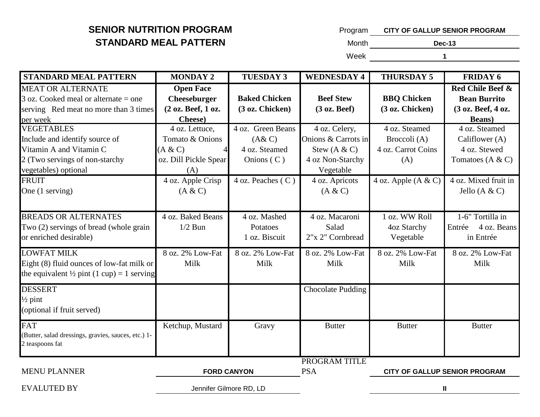| Program | <b>CITY OF GALLUP SENIOR PROGRAM</b> |
|---------|--------------------------------------|
| Month   | Dec-13                               |

Week **1**

| <b>STANDARD MEAL PATTERN</b>                          | <b>MONDAY 2</b>         | <b>TUESDAY 3</b>     | <b>WEDNESDAY 4</b>       | <b>THURSDAY 5</b>     | <b>FRIDAY 6</b>                      |
|-------------------------------------------------------|-------------------------|----------------------|--------------------------|-----------------------|--------------------------------------|
| <b>MEAT OR ALTERNATE</b>                              | <b>Open Face</b>        |                      |                          |                       | <b>Red Chile Beef &amp;</b>          |
| $3$ oz. Cooked meal or alternate = one                | <b>Cheeseburger</b>     | <b>Baked Chicken</b> | <b>Beef Stew</b>         | <b>BBQ Chicken</b>    | <b>Bean Burrito</b>                  |
| serving Red meat no more than 3 times                 | (2 oz. Beef, 1 oz.      | (3 oz. Chicken)      | (3 oz. Beef)             | (3 oz. Chicken)       | (3 oz. Beef, 4 oz.                   |
| per week                                              | Cheese)                 |                      |                          |                       | <b>Beans</b> )                       |
| <b>VEGETABLES</b>                                     | 4 oz. Lettuce,          | 4 oz. Green Beans    | 4 oz. Celery,            | 4 oz. Steamed         | 4 oz. Steamed                        |
| Include and identify source of                        | Tomato & Onions         | (A & C)              | Onions & Carrots in      | Broccoli (A)          | Califlower (A)                       |
| Vitamin A and Vitamin C                               | (A & C)                 | 4 oz. Steamed        | Stew $(A & C)$           | 4 oz. Carrot Coins    | 4 oz. Stewed                         |
| 2 (Two servings of non-starchy                        | oz. Dill Pickle Spear   | Onions $(C)$         | 4 oz Non-Starchy         | (A)                   | Tomatoes $(A & C)$                   |
| vegetables) optional                                  | (A)                     |                      | Vegetable                |                       |                                      |
| <b>FRUIT</b>                                          | 4 oz. Apple Crisp       | 4 oz. Peaches (C)    | 4 oz. Apricots           | 4 oz. Apple $(A & C)$ | 4 oz. Mixed fruit in                 |
| One (1 serving)                                       | (A & C)                 |                      | (A & C)                  |                       | Jello $(A & C)$                      |
|                                                       |                         |                      |                          |                       |                                      |
| <b>BREADS OR ALTERNATES</b>                           | 4 oz. Baked Beans       | 4 oz. Mashed         | 4 oz. Macaroni           | 1 oz. WW Roll         | 1-6" Tortilla in                     |
| Two (2) servings of bread (whole grain                | $1/2$ Bun               | Potatoes             | Salad                    | 4oz Starchy           | 4 oz. Beans<br>Entrée                |
| or enriched desirable)                                |                         | 1 oz. Biscuit        | 2"x 2" Cornbread         | Vegetable             | in Entrée                            |
| <b>LOWFAT MILK</b>                                    | 8 oz. 2% Low-Fat        | 8 oz. 2% Low-Fat     | 8 oz. 2% Low-Fat         | 8 oz. 2% Low-Fat      | 8 oz. 2% Low-Fat                     |
| Eight (8) fluid ounces of low-fat milk or             | Milk                    | Milk                 | Milk                     | Milk                  | Milk                                 |
| the equivalent $\frac{1}{2}$ pint (1 cup) = 1 serving |                         |                      |                          |                       |                                      |
| <b>DESSERT</b>                                        |                         |                      | <b>Chocolate Pudding</b> |                       |                                      |
| $\frac{1}{2}$ pint                                    |                         |                      |                          |                       |                                      |
| (optional if fruit served)                            |                         |                      |                          |                       |                                      |
| <b>FAT</b>                                            | Ketchup, Mustard        | Gravy                | <b>Butter</b>            | <b>Butter</b>         | <b>Butter</b>                        |
| (Butter, salad dressings, gravies, sauces, etc.) 1-   |                         |                      |                          |                       |                                      |
| 2 teaspoons fat                                       |                         |                      |                          |                       |                                      |
|                                                       |                         |                      | PROGRAM TITLE            |                       |                                      |
| <b>MENU PLANNER</b>                                   | <b>FORD CANYON</b>      |                      | <b>PSA</b>               |                       | <b>CITY OF GALLUP SENIOR PROGRAM</b> |
| <b>EVALUTED BY</b>                                    | Jennifer Gilmore RD, LD |                      |                          |                       | Ш                                    |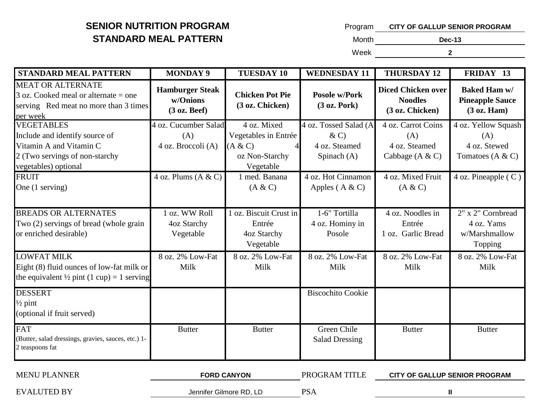| Program | <b>CITY OF GALLUP SENIOR PROGRAM</b> |
|---------|--------------------------------------|
| Month.  | <b>Dec-13</b>                        |
| Week    |                                      |

| <b>STANDARD MEAL PATTERN</b>                                                                                                             | <b>MONDAY 9</b>                                    | <b>TUESDAY 10</b>                                                             | <b>WEDNESDAY 11</b>                                                | <b>THURSDAY 12</b>                                              | FRIDAY 13                                                        |
|------------------------------------------------------------------------------------------------------------------------------------------|----------------------------------------------------|-------------------------------------------------------------------------------|--------------------------------------------------------------------|-----------------------------------------------------------------|------------------------------------------------------------------|
| <b>MEAT OR ALTERNATE</b><br>$3$ oz. Cooked meal or alternate = one<br>serving Red meat no more than 3 times<br>per week                  | <b>Hamburger Steak</b><br>w/Onions<br>(3 oz. Beef) | <b>Chicken Pot Pie</b><br>(3 oz. Chicken)                                     | <b>Posole w/Pork</b><br>(3 oz. <b>Pork</b> )                       | <b>Diced Chicken over</b><br><b>Noodles</b><br>(3 oz. Chicken)  | <b>Baked Ham w/</b><br><b>Pineapple Sauce</b><br>(3 oz. Ham)     |
| <b>VEGETABLES</b><br>Include and identify source of<br>Vitamin A and Vitamin C<br>2 (Two servings of non-starchy<br>vegetables) optional | 4 oz. Cucumber Salad<br>(A)<br>4 oz. Broccoli (A)  | 4 oz. Mixed<br>Vegetables in Entrée<br>(A & C)<br>oz Non-Starchy<br>Vegetable | 4 oz. Tossed Salad (A<br>$\& C)$<br>4 oz. Steamed<br>Spinach $(A)$ | 4 oz. Carrot Coins<br>(A)<br>4 oz. Steamed<br>Cabbage $(A & C)$ | 4 oz. Yellow Squash<br>(A)<br>4 oz. Stewed<br>Tomatoes $(A & C)$ |
| <b>FRUIT</b><br>One (1 serving)                                                                                                          | $\overline{4}$ oz. Plums (A & C)                   | 1 med. Banana<br>(A & C)                                                      | 4 oz. Hot Cinnamon<br>Apples $(A & C)$                             | 4 oz. Mixed Fruit<br>(A & C)                                    | $\overline{4}$ oz. Pineapple (C)                                 |
| <b>BREADS OR ALTERNATES</b><br>Two (2) servings of bread (whole grain<br>or enriched desirable)                                          | oz. WW Roll<br>4oz Starchy<br>Vegetable            | 1 oz. Biscuit Crust in<br>Entrée<br>4oz Starchy<br>Vegetable                  | 1-6" Tortilla<br>4 oz. Hominy in<br>Posole                         | 4 oz. Noodles in<br>Entrée<br>1 oz. Garlic Bread                | 2" x 2" Cornbread<br>4 oz. Yams<br>w/Marshmallow<br>Topping      |
| <b>LOWFAT MILK</b><br>Eight (8) fluid ounces of low-fat milk or<br>the equivalent $\frac{1}{2}$ pint (1 cup) = 1 serving                 | 8 oz. 2% Low-Fat<br>Milk                           | 8 oz. 2% Low-Fat<br>Milk                                                      | 8 oz. 2% Low-Fat<br>Milk                                           | 8 oz. 2% Low-Fat<br>Milk                                        | 8 oz. 2% Low-Fat<br>Milk                                         |
| <b>DESSERT</b><br>$\frac{1}{2}$ pint<br>(optional if fruit served)                                                                       |                                                    |                                                                               | <b>Biscochito Cookie</b>                                           |                                                                 |                                                                  |
| <b>FAT</b><br>(Butter, salad dressings, gravies, sauces, etc.) 1-<br>2 teaspoons fat                                                     | <b>Butter</b>                                      | <b>Butter</b>                                                                 | Green Chile<br><b>Salad Dressing</b>                               | <b>Butter</b>                                                   | <b>Butter</b>                                                    |
| <b>MENU PLANNER</b>                                                                                                                      |                                                    | <b>FORD CANYON</b>                                                            | PROGRAM TITLE                                                      |                                                                 | <b>CITY OF GALLUP SENIOR PROGRAM</b>                             |

EVALUTED BY GENERAL SERVICE SUPPORT OF SAMILY REVALUTED BY

**II**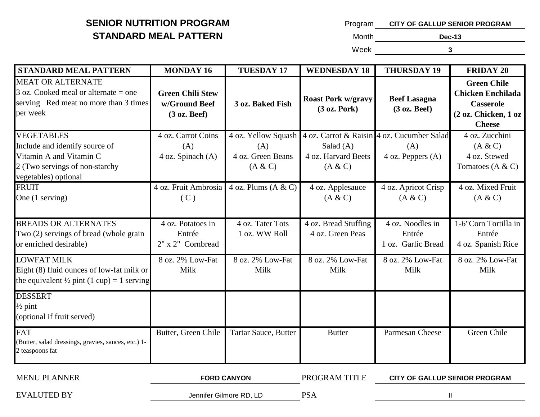| Program | <b>CITY OF GALLUP SENIOR PROGRAM</b> |
|---------|--------------------------------------|
| Month.  | <b>Dec-13</b>                        |
| Week    | 3                                    |

| <b>STANDARD MEAL PATTERN</b>                                                                                                             | <b>MONDAY 16</b>                                                    | <b>TUESDAY 17</b>                   | <b>WEDNESDAY 18</b>                                                                                                 | <b>THURSDAY 19</b>                               | <b>FRIDAY 20</b>                                                                                            |
|------------------------------------------------------------------------------------------------------------------------------------------|---------------------------------------------------------------------|-------------------------------------|---------------------------------------------------------------------------------------------------------------------|--------------------------------------------------|-------------------------------------------------------------------------------------------------------------|
| <b>MEAT OR ALTERNATE</b><br>$3$ oz. Cooked meal or alternate = one<br>serving Red meat no more than 3 times<br>per week                  | <b>Green Chili Stew</b><br>w/Ground Beef<br>$(3 \text{ oz. }$ Beef) | 3 oz. Baked Fish                    | <b>Roast Pork w/gravy</b><br>(3 oz. <b>Pork</b> )                                                                   | <b>Beef Lasagna</b><br>$(3 \text{ oz. }$ Beef)   | <b>Green Chile</b><br><b>Chicken Enchilada</b><br><b>Casserole</b><br>(2 oz. Chicken, 1 oz<br><b>Cheese</b> |
| <b>VEGETABLES</b><br>Include and identify source of<br>Vitamin A and Vitamin C<br>2 (Two servings of non-starchy<br>vegetables) optional | 4 oz. Carrot Coins<br>(A)<br>4 oz. Spinach $(A)$                    | (A)<br>4 oz. Green Beans<br>(A & C) | 4 oz. Yellow Squash   4 oz. Carrot & Raisin   4 oz. Cucumber Salad<br>Salad $(A)$<br>4 oz. Harvard Beets<br>(A & C) | (A)<br>4 oz. Peppers $(A)$                       | 4 oz. Zucchini<br>(A & C)<br>4 oz. Stewed<br>Tomatoes $(A & C)$                                             |
| <b>FRUIT</b><br>One (1 serving)                                                                                                          | 4 oz. Fruit Ambrosia<br>(C)                                         | 4 oz. Plums $(A & C)$               | 4 oz. Applesauce<br>(A & C)                                                                                         | 4 oz. Apricot Crisp<br>(A & C)                   | 4 oz. Mixed Fruit<br>(A & C)                                                                                |
| <b>BREADS OR ALTERNATES</b><br>Two (2) servings of bread (whole grain<br>or enriched desirable)                                          | 4 oz. Potatoes in<br>Entrée<br>2" x 2" Cornbread                    | 4 oz. Tater Tots<br>1 oz. WW Roll   | 4 oz. Bread Stuffing<br>4 oz. Green Peas                                                                            | 4 oz. Noodles in<br>Entrée<br>1 oz. Garlic Bread | 1-6"Corn Tortilla in<br>Entrée<br>4 oz. Spanish Rice                                                        |
| <b>LOWFAT MILK</b><br>Eight (8) fluid ounces of low-fat milk or<br>the equivalent $\frac{1}{2}$ pint (1 cup) = 1 serving                 | 8 oz. 2% Low-Fat<br>Milk                                            | 8 oz. 2% Low-Fat<br>Milk            | 8 oz. 2% Low-Fat<br>Milk                                                                                            | 8 oz. 2% Low-Fat<br>Milk                         | 8 oz. 2% Low-Fat<br>Milk                                                                                    |
| <b>DESSERT</b><br>$\frac{1}{2}$ pint<br>(optional if fruit served)                                                                       |                                                                     |                                     |                                                                                                                     |                                                  |                                                                                                             |
| <b>FAT</b><br>(Butter, salad dressings, gravies, sauces, etc.) 1-<br>2 teaspoons fat                                                     | Butter, Green Chile                                                 | <b>Tartar Sauce, Butter</b>         | <b>Butter</b>                                                                                                       | Parmesan Cheese                                  | Green Chile                                                                                                 |

| <b>MENU PLANNER</b> | <b>FORD CANYON</b>      | PROGRAM TITLE | <b>CITY OF GALLUP SENIOR PROGRAM</b> |  |
|---------------------|-------------------------|---------------|--------------------------------------|--|
| <b>EVALUTED BY</b>  | Jennifer Gilmore RD, LD | PSA           |                                      |  |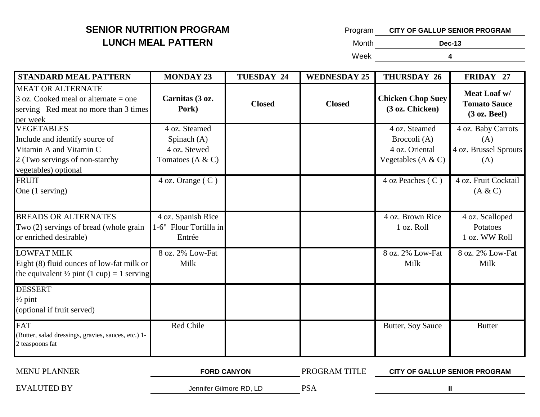# **SENIOR NUTRITION PROGRAM LUNCH MEAL PATTERN**

| Program | <b>CITY OF GALLUP SENIOR PROGRAM</b> |
|---------|--------------------------------------|
|         |                                      |

**Month Month** 

Week

**Dec-13 4**

| <b>STANDARD MEAL PATTERN</b>                                                                                                             | <b>MONDAY 23</b>                                                     | <b>TUESDAY 24</b> | <b>WEDNESDAY 25</b> | <b>THURSDAY 26</b>                                                      | FRIDAY 27                                                              |
|------------------------------------------------------------------------------------------------------------------------------------------|----------------------------------------------------------------------|-------------------|---------------------|-------------------------------------------------------------------------|------------------------------------------------------------------------|
| <b>MEAT OR ALTERNATE</b><br>$3$ oz. Cooked meal or alternate = one<br>serving Red meat no more than 3 times<br>per week                  | Carnitas (3 oz.<br>Pork)                                             | <b>Closed</b>     | <b>Closed</b>       | <b>Chicken Chop Suey</b><br>(3 oz. Chicken)                             | Meat Loaf w/<br><b>Tomato Sauce</b><br>(3 oz. Beef)                    |
| <b>VEGETABLES</b><br>Include and identify source of<br>Vitamin A and Vitamin C<br>2 (Two servings of non-starchy<br>vegetables) optional | 4 oz. Steamed<br>Spinach $(A)$<br>4 oz. Stewed<br>Tomatoes $(A & C)$ |                   |                     | 4 oz. Steamed<br>Broccoli (A)<br>4 oz. Oriental<br>Vegetables $(A & C)$ | $\overline{4}$ oz. Baby Carrots<br>(A)<br>4 oz. Brussel Sprouts<br>(A) |
| <b>FRUIT</b><br>One (1 serving)                                                                                                          | 4 oz. Orange (C)                                                     |                   |                     | 4 oz Peaches (C)                                                        | 4 oz. Fruit Cocktail<br>(A & C)                                        |
| <b>BREADS OR ALTERNATES</b><br>Two (2) servings of bread (whole grain<br>or enriched desirable)                                          | 4 oz. Spanish Rice<br>1-6" Flour Tortilla in<br>Entrée               |                   |                     | 4 oz. Brown Rice<br>1 oz. Roll                                          | 4 oz. Scalloped<br>Potatoes<br>1 oz. WW Roll                           |
| <b>LOWFAT MILK</b><br>Eight (8) fluid ounces of low-fat milk or<br>the equivalent $\frac{1}{2}$ pint (1 cup) = 1 serving                 | 8 oz. 2% Low-Fat<br>Milk                                             |                   |                     | 8 oz. 2% Low-Fat<br>Milk                                                | 8 oz. 2% Low-Fat<br>Milk                                               |
| <b>DESSERT</b><br>$\frac{1}{2}$ pint<br>(optional if fruit served)                                                                       |                                                                      |                   |                     |                                                                         |                                                                        |
| <b>FAT</b><br>(Butter, salad dressings, gravies, sauces, etc.) 1-<br>2 teaspoons fat                                                     | Red Chile                                                            |                   |                     | Butter, Soy Sauce                                                       | <b>Butter</b>                                                          |

| <b>MENU PLANNER</b> | <b>FORD CANYON</b>      | PROGRAM TITLE | <b>CITY OF GALLUP SENIOR PROGRAM</b> |  |
|---------------------|-------------------------|---------------|--------------------------------------|--|
| <b>EVALUTED BY</b>  | Jennifer Gilmore RD, LD | <b>PSA</b>    |                                      |  |